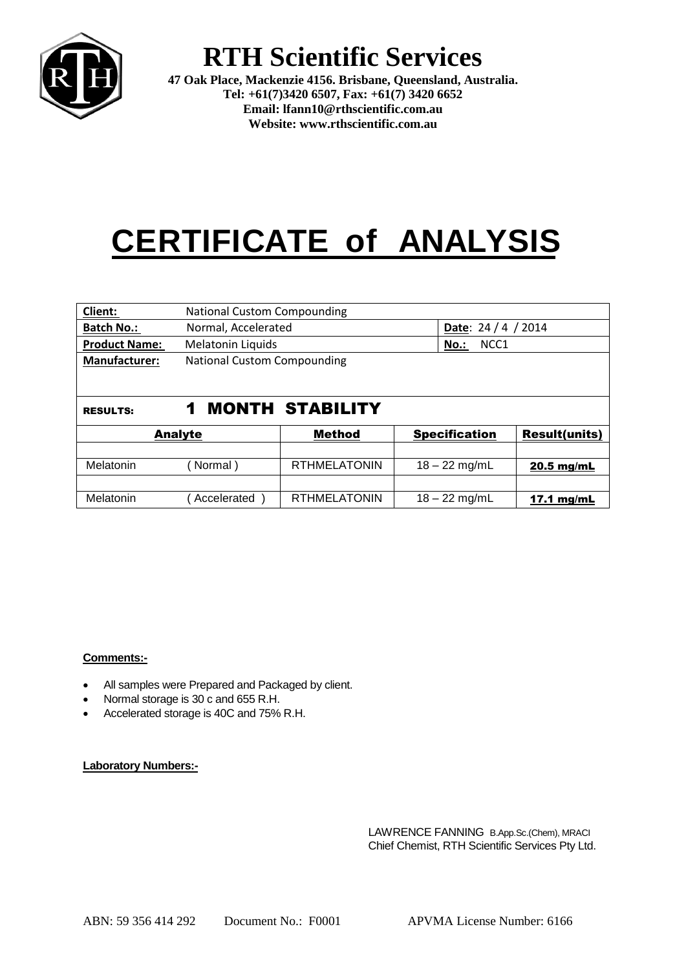

## **RTH Scientific Services**

**47 Oak Place, Mackenzie 4156. Brisbane, Queensland, Australia. Tel: +61(7)3420 6507, Fax: +61(7) 3420 6652 Email: lfann10@rthscientific.com.au Website: www.rthscientific.com.au**

# **CERTIFICATE of ANALYSIS**

| Client:              | <b>National Custom Compounding</b> |                        |                             |                      |  |
|----------------------|------------------------------------|------------------------|-----------------------------|----------------------|--|
| <b>Batch No.:</b>    | Normal, Accelerated                |                        |                             | Date: $24/4/2014$    |  |
| <b>Product Name:</b> | <b>Melatonin Liquids</b>           |                        | NCC <sub>1</sub><br>$No.$ : |                      |  |
| <b>Manufacturer:</b> | <b>National Custom Compounding</b> |                        |                             |                      |  |
|                      |                                    |                        |                             |                      |  |
|                      |                                    |                        |                             |                      |  |
| <b>RESULTS:</b>      | 1                                  | <b>MONTH STABILITY</b> |                             |                      |  |
| <b>Analyte</b>       |                                    | Method                 | <b>Specification</b>        | <b>Result(units)</b> |  |
|                      |                                    |                        |                             |                      |  |
| Melatonin            | Normal)                            | <b>RTHMELATONIN</b>    | $18 - 22$ mg/mL             | 20.5 mg/mL           |  |
|                      |                                    |                        |                             |                      |  |
| Melatonin            | Accelerated                        | <b>RTHMELATONIN</b>    | $18 - 22$ mg/mL             | 17.1 mg/mL           |  |

### **Comments:-**

- All samples were Prepared and Packaged by client.
- Normal storage is 30 c and 655 R.H.
- Accelerated storage is 40C and 75% R.H.

#### **Laboratory Numbers:-**

LAWRENCE FANNING B.App.Sc.(Chem), MRACI Chief Chemist, RTH Scientific Services Pty Ltd.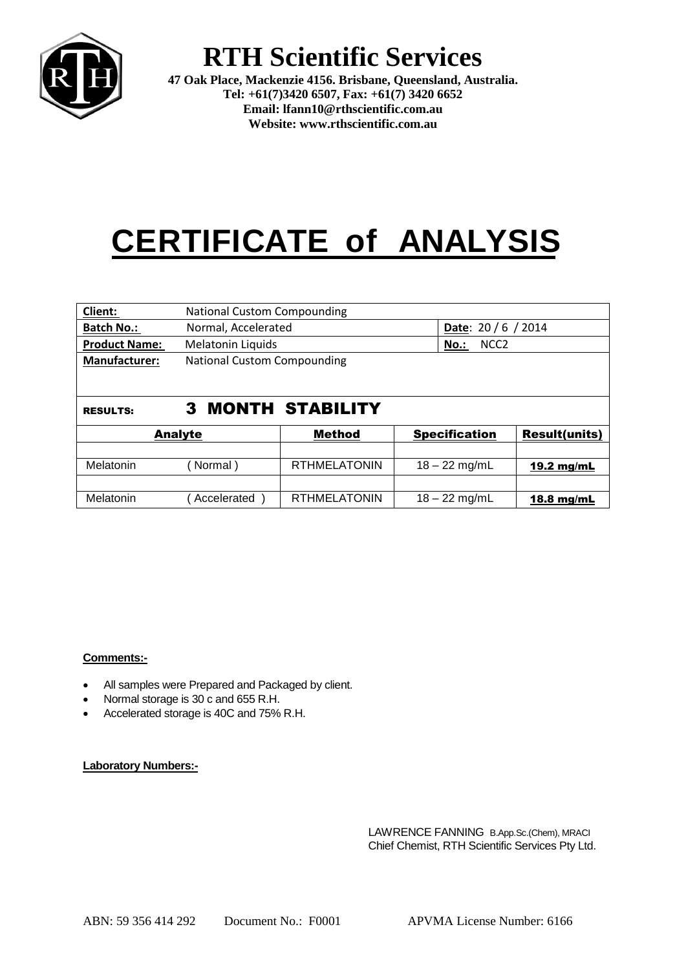

## **RTH Scientific Services**

**47 Oak Place, Mackenzie 4156. Brisbane, Queensland, Australia. Tel: +61(7)3420 6507, Fax: +61(7) 3420 6652 Email: lfann10@rthscientific.com.au Website: www.rthscientific.com.au**

# **CERTIFICATE of ANALYSIS**

| Client:              | <b>National Custom Compounding</b> |                        |                             |                            |  |
|----------------------|------------------------------------|------------------------|-----------------------------|----------------------------|--|
| <b>Batch No.:</b>    | Normal, Accelerated                |                        |                             | <b>Date:</b> $20/6 / 2014$ |  |
| <b>Product Name:</b> | Melatonin Liquids                  |                        | NCC <sub>2</sub><br>$No.$ : |                            |  |
| <b>Manufacturer:</b> | <b>National Custom Compounding</b> |                        |                             |                            |  |
|                      |                                    |                        |                             |                            |  |
|                      |                                    |                        |                             |                            |  |
| <b>RESULTS:</b>      | 3                                  | <b>MONTH STABILITY</b> |                             |                            |  |
| <b>Analyte</b>       |                                    | <b>Method</b>          | <b>Specification</b>        | <b>Result(units)</b>       |  |
|                      |                                    |                        |                             |                            |  |
| Melatonin            | Normal)                            | <b>RTHMELATONIN</b>    | $18 - 22$ mg/mL             | 19.2 mg/mL                 |  |
|                      |                                    |                        |                             |                            |  |
| Melatonin            | Accelerated                        | <b>RTHMELATONIN</b>    | $18 - 22$ mg/mL             | 18.8 $mg/mL$               |  |

### **Comments:-**

- All samples were Prepared and Packaged by client.
- Normal storage is 30 c and 655 R.H.
- Accelerated storage is 40C and 75% R.H.

#### **Laboratory Numbers:-**

LAWRENCE FANNING B.App.Sc.(Chem), MRACI Chief Chemist, RTH Scientific Services Pty Ltd.